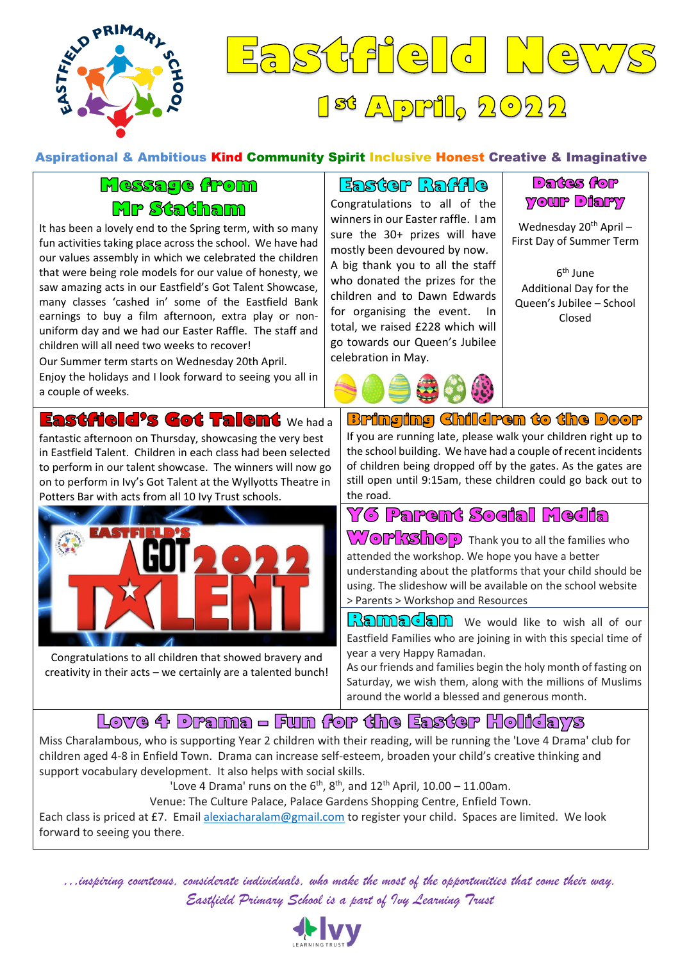

### $|\mathcal{S}($  $\bigcap_{i=1}^n\sum_{i=1}^n\alpha_i$  $^{56}$  Apple,  $2022$

#### Aspirational & Ambitious Kind Community Spirit Inclusive Honest Creative & Imaginative

#### Message from **Mr Statham**

It has been a lovely end to the Spring term, with so many fun activities taking place across the school. We have had our values assembly in which we celebrated the children that were being role models for our value of honesty, we saw amazing acts in our Eastfield's Got Talent Showcase, many classes 'cashed in' some of the Eastfield Bank earnings to buy a film afternoon, extra play or nonuniform day and we had our Easter Raffle. The staff and children will all need two weeks to recover!

Our Summer term starts on Wednesday 20th April.

Enjoy the holidays and I look forward to seeing you all in a couple of weeks.

Eastfield's Got Talent We had a fantastic afternoon on Thursday, showcasing the very best in Eastfield Talent. Children in each class had been selected to perform in our talent showcase. The winners will now go on to perform in Ivy's Got Talent at the Wyllyotts Theatre in Potters Bar with acts from all 10 Ivy Trust schools.



Congratulations to all children that showed bravery and creativity in their acts – we certainly are a talented bunch!

Easter Raffie Congratulations to all of the winners in our Easter raffle. I am sure the 30+ prizes will have mostly been devoured by now. A big thank you to all the staff who donated the prizes for the children and to Dawn Edwards for organising the event. In total, we raised £228 which will go towards our Queen's Jubilee celebration in May.



#### **Dartes forp YOUP Diary**

Wednesday 20<sup>th</sup> April -First Day of Summer Term

6<sup>th</sup> June Additional Day for the Queen's Jubilee – School Closed

**Bringing Children to the Door** If you are running late, please walk your children right up to

the school building. We have had a couple of recent incidents of children being dropped off by the gates. As the gates are still open until 9:15am, these children could go back out to the road.

YG Parent Sogial Media

**WOPRShOP** Thank you to all the families who attended the workshop. We hope you have a better understanding about the platforms that your child should be using. The slideshow will be available on the school website > Parents > Workshop and Resources

Ramadan we would like to wish all of our Eastfield Families who are joining in with this special time of year a very Happy Ramadan.

As our friends and families begin the holy month of fasting on Saturday, we wish them, along with the millions of Muslims around the world a blessed and generous month.

#### Love 4 Drama – Fun for the Easter Holidays

Miss Charalambous, who is supporting Year 2 children with their reading, will be running the 'Love 4 Drama' club for children aged 4-8 in Enfield Town. Drama can increase self-esteem, broaden your child's creative thinking and support vocabulary development. It also helps with social skills.

'Love 4 Drama' runs on the  $6<sup>th</sup>$ ,  $8<sup>th</sup>$ , and  $12<sup>th</sup>$  April,  $10.00 - 11.00$ am.

Venue: The Culture Palace, Palace Gardens Shopping Centre, Enfield Town.

Each class is priced at £7. Email [alexiacharalam@gmail.com](mailto:alexiacharalam@gmail.com) to register your child. Spaces are limited. We look forward to seeing you there.

*…inspiring courteous, considerate individuals, who make the most of the opportunities that come their way. Eastfield Primary School is a part of Ivy Learning Trust*